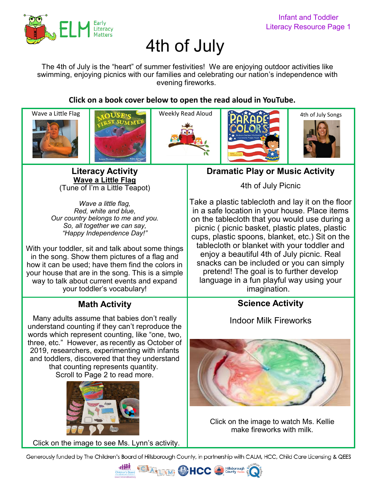

# 4th of July

The 4th of July is the "heart" of summer festivities! We are enjoying outdoor activities like swimming, enjoying picnics with our families and celebrating our nation's independence with evening fireworks.

**Click on a book cover below to open the read aloud in YouTube.** 











**[Li](https://youtu.be/VAy9FI1jlmE)teracy Activity [Wave a Little Flag](https://youtu.be/VAy9FI1jlmE)** (Tune of I'm a Little Teapot)

*Wave a little flag, Red, white and blue, Our country belongs to me and you. So, all together we can say, "Happy Independence Day!"*

With your toddler, sit and talk about some things in the song. Show them pictures of a flag and how it can be used; have them find the colors in your house that are in the song. This is a simple way to talk about current events and expand your toddler's vocabulary!

# **Math Activity**

Many adults assume that babies don't really understand counting if they can't reproduce the words which represent counting, like "one, two, three, etc." However, as recently as October of 2019, researchers, experimenting with infants and toddlers, discovered that they understand that counting represents quantity. Scroll to Page 2 to read more.



[Click on the image to see Ms. Lynn](https://youtu.be/CANIREReCOw)'s activity.

**Dramatic Play or Music Activity**

4th of July Picnic

Take a plastic tablecloth and lay it on the floor in a safe location in your house. Place items on the tablecloth that you would use during a picnic ( picnic basket, plastic plates, plastic cups, plastic spoons, blanket, etc.) Sit on the tablecloth or blanket with your toddler and enjoy a beautiful 4th of July picnic. Real snacks can be included or you can simply pretend! The goal is to further develop language in a fun playful way using your imagination.

### **Science Activity**

Indoor Milk Fireworks



[Click on the image to watch Ms. Kellie](https://youtu.be/BBQTZl5bCEg) make fireworks with milk.

Generously funded by The Children's Board of Hillsborough County, in partnership with CALM, HCC, Child Care Licensing & QEES